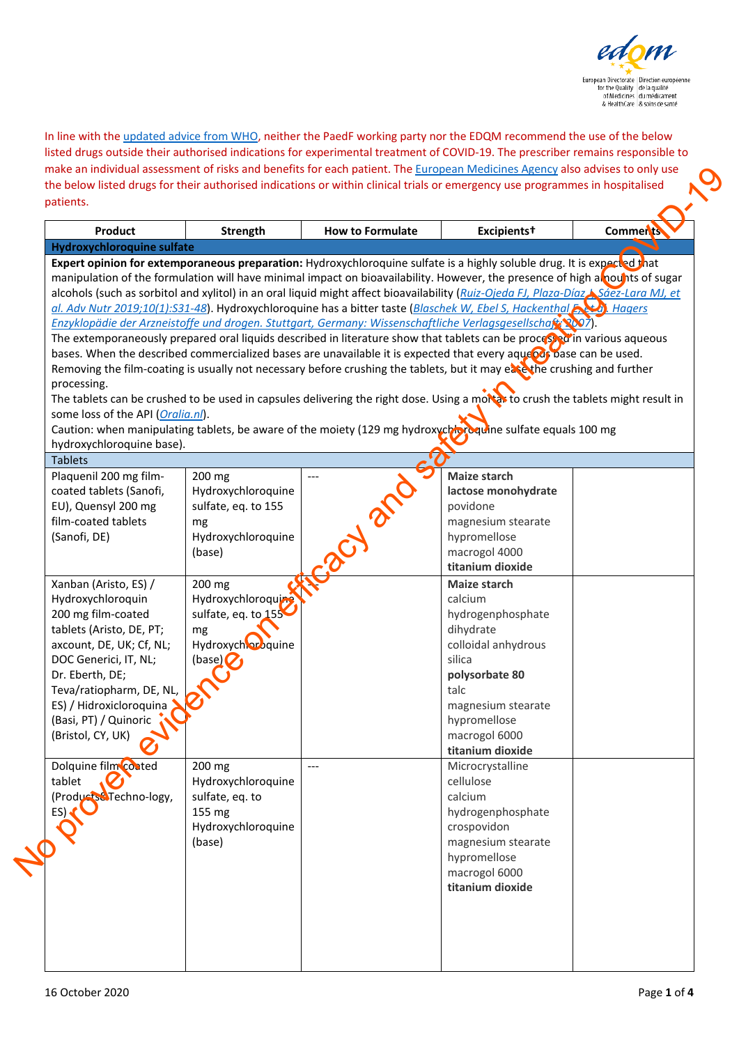

In line with th[e updated advice from WHO,](https://www.who.int/publications/m/item/targeted-update-safety-and-efficacy-of-hydroxychloroquine-or-chloroquine-for-treatment-of-covid-19) neither the PaedF working party nor the EDQM recommend the use of the below listed drugs outside their authorised indications for experimental treatment of COVID-19. The prescriber remains responsible to make an individual assessment of risks and benefits for each patient. Th[e European Medicines Agency](https://www.ema.europa.eu/en/human-regulatory/overview/public-health-threats/coronavirus-disease-covid-19/public-health-advice-during-covid-19-pandemic) also advises to only use the below listed drugs for their authorised indications or within clinical trials or emergency use programmes in hospitalised patients.

| <b>Product</b>                                                                                                                                                                                        | Strength                                                                                                                               | <b>How to Formulate</b> | Excipients <sup>+</sup>                                                                                                                                                                                                                                                                                                                                                                                                                                                                                                                                                                                                                                                                                                                                                                                                                                                                                                                                                                                                                                                                                                                                                                                                                                                | <b>Comments</b> |
|-------------------------------------------------------------------------------------------------------------------------------------------------------------------------------------------------------|----------------------------------------------------------------------------------------------------------------------------------------|-------------------------|------------------------------------------------------------------------------------------------------------------------------------------------------------------------------------------------------------------------------------------------------------------------------------------------------------------------------------------------------------------------------------------------------------------------------------------------------------------------------------------------------------------------------------------------------------------------------------------------------------------------------------------------------------------------------------------------------------------------------------------------------------------------------------------------------------------------------------------------------------------------------------------------------------------------------------------------------------------------------------------------------------------------------------------------------------------------------------------------------------------------------------------------------------------------------------------------------------------------------------------------------------------------|-----------------|
| <b>Hydroxychloroquine sulfate</b>                                                                                                                                                                     |                                                                                                                                        |                         |                                                                                                                                                                                                                                                                                                                                                                                                                                                                                                                                                                                                                                                                                                                                                                                                                                                                                                                                                                                                                                                                                                                                                                                                                                                                        |                 |
| processing.<br>some loss of the API (Oralia.nl).<br>hydroxychloroquine base).<br><b>Tablets</b>                                                                                                       |                                                                                                                                        |                         | Expert opinion for extemporaneous preparation: Hydroxychloroquine sulfate is a highly soluble drug. It is expected that<br>manipulation of the formulation will have minimal impact on bioavailability. However, the presence of high alpounts of sugar<br>alcohols (such as sorbitol and xylitol) in an oral liquid might affect bioavailability (Ruiz-Ojeda FJ, Plaza-Díaz Sáez-Lara MJ, et<br>al. Adv Nutr 2019;10(1):S31-48). Hydroxychloroquine has a bitter taste (Blaschek W, Ebel S, Hackenthal F, 20). Hagers<br>Enzyklopädie der Arzneistoffe und drogen. Stuttgart, Germany: Wissenschaftliche Verlagsgesellschaft (2007).<br>The extemporaneously prepared oral liquids described in literature show that tablets can be processed in various aqueous<br>bases. When the described commercialized bases are unavailable it is expected that every aquebes pase can be used.<br>Removing the film-coating is usually not necessary before crushing the tablets, but it may eare the crushing and further<br>The tablets can be crushed to be used in capsules delivering the right dose. Using a mortax to crush the tablets might result in<br>Caution: when manipulating tablets, be aware of the moiety (129 mg hydroxych ordering sulfate equals 100 mg |                 |
| Plaquenil 200 mg film-                                                                                                                                                                                | 200 mg                                                                                                                                 |                         | <b>Maize starch</b>                                                                                                                                                                                                                                                                                                                                                                                                                                                                                                                                                                                                                                                                                                                                                                                                                                                                                                                                                                                                                                                                                                                                                                                                                                                    |                 |
| coated tablets (Sanofi,<br>EU), Quensyl 200 mg<br>film-coated tablets<br>(Sanofi, DE)<br>Xanban (Aristo, ES) /<br>Hydroxychloroquin<br>200 mg film-coated                                             | Hydroxychloroquine<br>sulfate, eq. to 155<br>mg<br>Hydroxychloroquine<br>(base)<br>200 mg<br>Hydroxychloroquing<br>sulfate, eq. to 155 |                         | lactose monohydrate<br>povidone<br>magnesium stearate<br>hypromellose<br>macrogol 4000<br>titanium dioxide<br>Maize starch<br>calcium<br>hydrogenphosphate                                                                                                                                                                                                                                                                                                                                                                                                                                                                                                                                                                                                                                                                                                                                                                                                                                                                                                                                                                                                                                                                                                             |                 |
| tablets (Aristo, DE, PT;<br>axcount, DE, UK; Cf, NL;<br>DOC Generici, IT, NL;<br>Dr. Eberth, DE;<br>Teva/ratiopharm, DE, NL,<br>ES) / Hidroxicloroquina<br>(Basi, PT) / Quinoric<br>(Bristol, CY, UK) | mg<br>Hydroxychlor guine<br>(base)                                                                                                     |                         | dihydrate<br>colloidal anhydrous<br>silica<br>polysorbate 80<br>talc<br>magnesium stearate<br>hypromellose<br>macrogol 6000<br>titanium dioxide                                                                                                                                                                                                                                                                                                                                                                                                                                                                                                                                                                                                                                                                                                                                                                                                                                                                                                                                                                                                                                                                                                                        |                 |
| Dolquine film coated<br>tablet<br>(Products&Techno-logy,<br>ES)                                                                                                                                       | 200 mg<br>Hydroxychloroquine<br>sulfate, eq. to<br>155 mg<br>Hydroxychloroquine<br>(base)                                              | $---$                   | Microcrystalline<br>cellulose<br>calcium<br>hydrogenphosphate<br>crospovidon<br>magnesium stearate<br>hypromellose<br>macrogol 6000<br>titanium dioxide                                                                                                                                                                                                                                                                                                                                                                                                                                                                                                                                                                                                                                                                                                                                                                                                                                                                                                                                                                                                                                                                                                                |                 |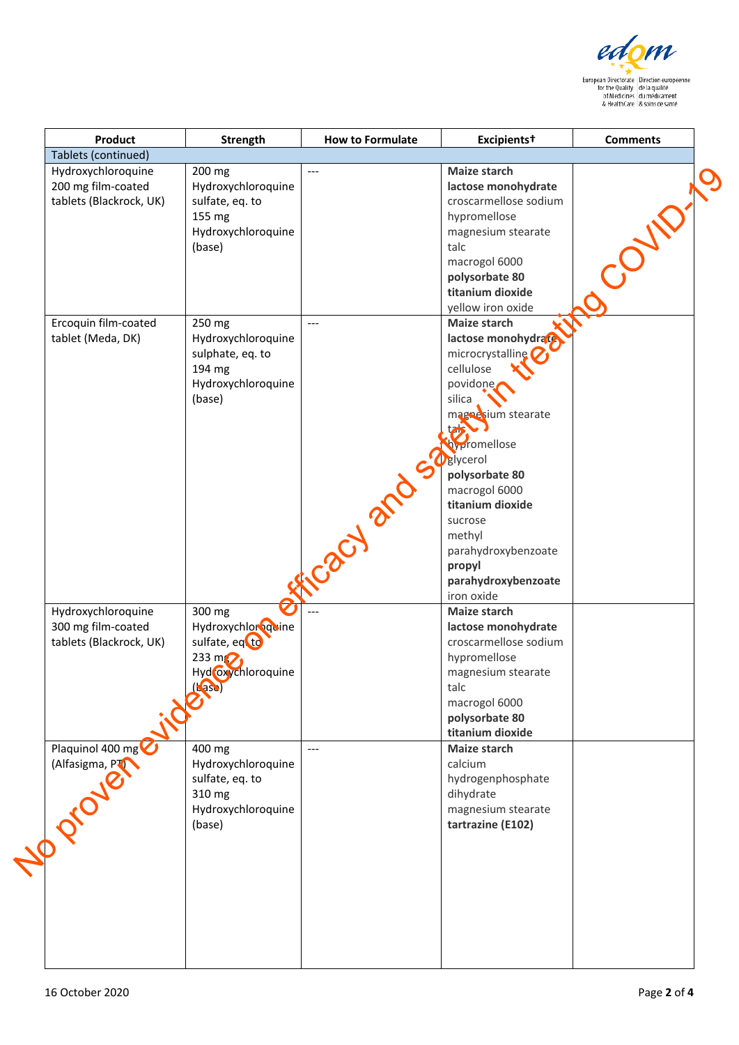

| Product                 | Strength           | <b>How to Formulate</b> | Excipients <sup>+</sup> | <b>Comments</b> |
|-------------------------|--------------------|-------------------------|-------------------------|-----------------|
| Tablets (continued)     |                    |                         |                         |                 |
| Hydroxychloroquine      | 200 mg             | $---$                   | <b>Maize starch</b>     |                 |
| 200 mg film-coated      | Hydroxychloroquine |                         | lactose monohydrate     |                 |
| tablets (Blackrock, UK) | sulfate, eq. to    |                         | croscarmellose sodium   |                 |
|                         | 155 mg             |                         | hypromellose            |                 |
|                         |                    |                         |                         |                 |
|                         | Hydroxychloroquine |                         | magnesium stearate      |                 |
|                         | (base)             |                         | talc                    |                 |
|                         |                    |                         | macrogol 6000           |                 |
|                         |                    |                         | polysorbate 80          |                 |
|                         |                    |                         | titanium dioxide        |                 |
|                         |                    |                         | yellow iron oxide       |                 |
| Ercoquin film-coated    | 250 mg             | $---$                   | Maize starch            |                 |
| tablet (Meda, DK)       | Hydroxychloroquine |                         | lactose monohydrate     |                 |
|                         |                    |                         |                         |                 |
|                         | sulphate, eq. to   |                         | microcrystalline        |                 |
|                         | 194 mg             |                         | cellulose               |                 |
|                         | Hydroxychloroquine |                         | povidone.               |                 |
|                         | (base)             |                         | silica                  |                 |
|                         |                    |                         | magnesium stearate      |                 |
|                         |                    |                         | tans                    |                 |
|                         |                    |                         | hypromellose            |                 |
|                         |                    |                         | <b>D</b> glycerol       |                 |
|                         |                    |                         |                         |                 |
|                         |                    |                         | polysorbate 80          |                 |
|                         |                    |                         | macrogol 6000           |                 |
|                         |                    | EN 21                   | titanium dioxide        |                 |
|                         |                    |                         | sucrose                 |                 |
|                         |                    |                         | methyl                  |                 |
|                         |                    |                         | parahydroxybenzoate     |                 |
|                         |                    |                         | propyl                  |                 |
|                         |                    |                         | parahydroxybenzoate     |                 |
|                         |                    |                         |                         |                 |
|                         |                    |                         | iron oxide              |                 |
| Hydroxychloroquine      | 300 mg             |                         | Maize starch            |                 |
| 300 mg film-coated      | Hydroxychlor quine |                         | lactose monohydrate     |                 |
| tablets (Blackrock, UK) | sulfate, eq. to    |                         | croscarmellose sodium   |                 |
|                         | 233 m $\bigcirc$   |                         | hypromellose            |                 |
|                         | Hyd oxychloroquine |                         | magnesium stearate      |                 |
|                         |                    |                         | talc                    |                 |
| in Chassel              |                    |                         | macrogol 6000           |                 |
|                         |                    |                         |                         |                 |
|                         |                    |                         | polysorbate 80          |                 |
|                         |                    |                         | titanium dioxide        |                 |
| Plaquinol 400 mg        | 400 mg             | $---$                   | <b>Maize starch</b>     |                 |
|                         | Hydroxychloroquine |                         | calcium                 |                 |
|                         | sulfate, eq. to    |                         | hydrogenphosphate       |                 |
|                         | 310 mg             |                         | dihydrate               |                 |
| (Alfasigma, PT          | Hydroxychloroquine |                         | magnesium stearate      |                 |
|                         | (base)             |                         | tartrazine (E102)       |                 |
|                         |                    |                         |                         |                 |
|                         |                    |                         |                         |                 |
|                         |                    |                         |                         |                 |
|                         |                    |                         |                         |                 |
|                         |                    |                         |                         |                 |
|                         |                    |                         |                         |                 |
|                         |                    |                         |                         |                 |
|                         |                    |                         |                         |                 |
|                         |                    |                         |                         |                 |
|                         |                    |                         |                         |                 |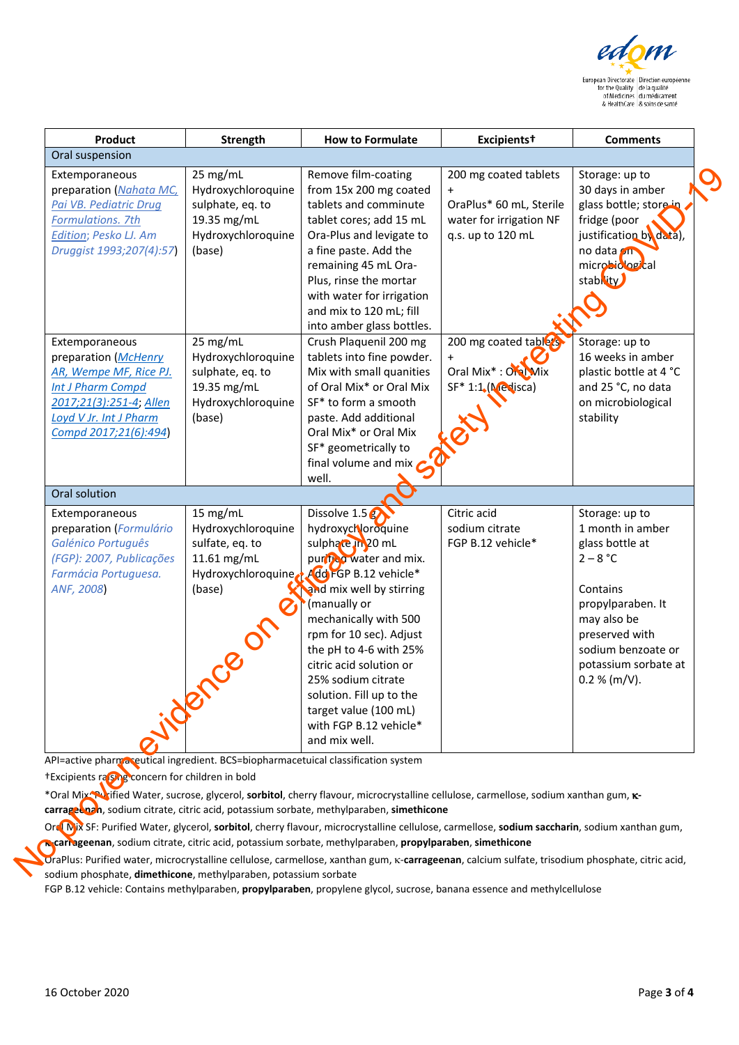

| Product                                                                                                                                                                                                                  | Strength                                                                                                                                                | <b>How to Formulate</b>                                                                                                                                                                                                                                                                                                                                                                   | Excipients <sup>+</sup>                                                                                                                                                                 | <b>Comments</b>                                                                                                                                                                                                               |
|--------------------------------------------------------------------------------------------------------------------------------------------------------------------------------------------------------------------------|---------------------------------------------------------------------------------------------------------------------------------------------------------|-------------------------------------------------------------------------------------------------------------------------------------------------------------------------------------------------------------------------------------------------------------------------------------------------------------------------------------------------------------------------------------------|-----------------------------------------------------------------------------------------------------------------------------------------------------------------------------------------|-------------------------------------------------------------------------------------------------------------------------------------------------------------------------------------------------------------------------------|
| Oral suspension                                                                                                                                                                                                          |                                                                                                                                                         |                                                                                                                                                                                                                                                                                                                                                                                           |                                                                                                                                                                                         |                                                                                                                                                                                                                               |
| Extemporaneous<br>preparation (Nahata MC,<br>Pai VB. Pediatric Drug<br><b>Formulations. 7th</b><br>Edition; Pesko LJ. Am<br>Druggist 1993;207(4):57)<br>Extemporaneous<br>preparation (McHenry<br>AR, Wempe MF, Rice PJ. | 25 mg/mL<br>Hydroxychloroquine<br>sulphate, eq. to<br>19.35 mg/mL<br>Hydroxychloroquine<br>(base)<br>25 mg/mL<br>Hydroxychloroquine<br>sulphate, eq. to | Remove film-coating<br>from 15x 200 mg coated<br>tablets and comminute<br>tablet cores; add 15 mL<br>Ora-Plus and levigate to<br>a fine paste. Add the<br>remaining 45 mL Ora-<br>Plus, rinse the mortar<br>with water for irrigation<br>and mix to 120 mL; fill<br>into amber glass bottles.<br>Crush Plaquenil 200 mg<br>tablets into fine powder.<br>Mix with small quanities          | 200 mg coated tablets<br>$\ddot{}$<br>OraPlus* 60 mL, Sterile<br>water for irrigation NF<br>q.s. up to 120 mL<br>200 mg coated tablers<br>$\ddot{}$<br>Oral Mix <sup>*</sup> : Oral Mix | Storage: up to<br>30 days in amber<br>glass bottle; store in<br>fridge (poor<br>justification by data),<br>no data <b>on</b><br>microbiological<br>stability<br>Storage: up to<br>16 weeks in amber<br>plastic bottle at 4 °C |
| Int J Pharm Compd<br>2017;21(3):251-4; Allen<br>Loyd V Jr. Int J Pharm<br>Compd 2017;21(6):494)<br>Oral solution                                                                                                         | 19.35 mg/mL<br>Hydroxychloroquine<br>(base)                                                                                                             | of Oral Mix* or Oral Mix<br>SF* to form a smooth<br>paste. Add additional<br>Oral Mix* or Oral Mix<br>SF* geometrically to<br>final volume and mix $\bigcap$<br>well.                                                                                                                                                                                                                     | $SF* 1:1.$ (Medisca)                                                                                                                                                                    | and 25 °C, no data<br>on microbiological<br>stability                                                                                                                                                                         |
|                                                                                                                                                                                                                          |                                                                                                                                                         |                                                                                                                                                                                                                                                                                                                                                                                           |                                                                                                                                                                                         |                                                                                                                                                                                                                               |
| Extemporaneous<br>preparation (Formulário<br>Galénico Português<br>(FGP): 2007, Publicações<br>Farmácia Portuguesa.<br>ANF, 2008)                                                                                        | 15 mg/mL<br>Hydroxychloroquine<br>sulfate, eq. to<br>11.61 mg/mL<br>Hydroxychloroquine<br>(base)                                                        | Dissolve $1.5g$<br>hydroxychloroquine<br>sulphace in 20 mL<br>purifled water and mix.<br>Add FGP B.12 vehicle*<br>and mix well by stirring<br>(manually or<br>mechanically with 500<br>rpm for 10 sec). Adjust<br>the pH to 4-6 with 25%<br>citric acid solution or<br>25% sodium citrate<br>solution. Fill up to the<br>target value (100 mL)<br>with FGP B.12 vehicle*<br>and mix well. | Citric acid<br>sodium citrate<br>FGP B.12 vehicle*                                                                                                                                      | Storage: up to<br>1 month in amber<br>glass bottle at<br>$2 - 8 °C$<br>Contains<br>propylparaben. It<br>may also be<br>preserved with<br>sodium benzoate or<br>potassium sorbate at<br>0.2 % (m/V).                           |
| API=active pharmaseutical ingredient. BCS=biopharmacetuical classification system                                                                                                                                        |                                                                                                                                                         |                                                                                                                                                                                                                                                                                                                                                                                           |                                                                                                                                                                                         |                                                                                                                                                                                                                               |
| †Excipients ra SMg concern for children in bold                                                                                                                                                                          |                                                                                                                                                         | *Oral Mix Nrified Water, sucrose, glycerol, sorbitol, cherry flavour, microcrystalline cellulose, carmellose, sodium xanthan gum, K-<br>carrageduan, sodium citrate, citric acid, potassium sorbate, methylparaben, simethicone<br>Ore Nix SF: Purified Water, glycerol, sorbitol, cherry flavour, microcrystalline cellulose, carmellose, sodium saccharin, sodium xanthan gum,          |                                                                                                                                                                                         |                                                                                                                                                                                                                               |
| sodium phosphate, <b>dimethicone</b> , methylparaben, potassium sorbate                                                                                                                                                  |                                                                                                                                                         | carrageenan, sodium citrate, citric acid, potassium sorbate, methylparaben, propylparaben, simethicone<br>OraPlus: Purified water, microcrystalline cellulose, carmellose, xanthan gum, k-carrageenan, calcium sulfate, trisodium phosphate, citric acid,                                                                                                                                 |                                                                                                                                                                                         |                                                                                                                                                                                                                               |

OraPlus: Purified water, microcrystalline cellulose, carmellose, xanthan gum, κ-**carrageenan**, calcium sulfate, trisodium phosphate, citric acid, sodium phosphate, **dimethicone**, methylparaben, potassium sorbate

FGP B.12 vehicle: Contains methylparaben, **propylparaben**, propylene glycol, sucrose, banana essence and methylcellulose